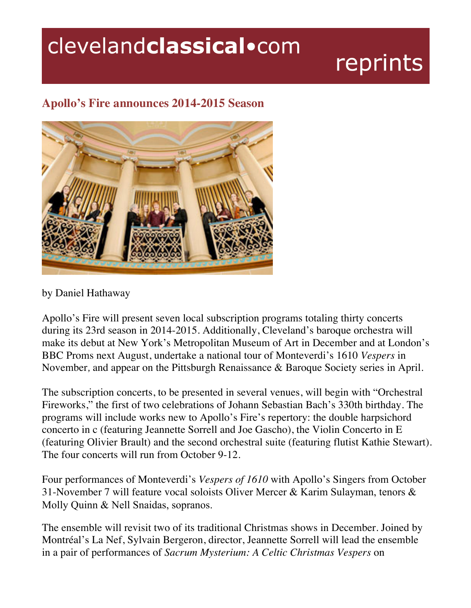## clevelandclassical.com

## reprints

## **Apollo's Fire announces 2014-2015 Season**



by Daniel Hathaway

Apollo's Fire will present seven local subscription programs totaling thirty concerts during its 23rd season in 2014-2015. Additionally, Cleveland's baroque orchestra will make its debut at New York's Metropolitan Museum of Art in December and at London's BBC Proms next August, undertake a national tour of Monteverdi's 1610 *Vespers* in November*,* and appear on the Pittsburgh Renaissance & Baroque Society series in April.

The subscription concerts, to be presented in several venues, will begin with "Orchestral Fireworks," the first of two celebrations of Johann Sebastian Bach's 330th birthday. The programs will include works new to Apollo's Fire's repertory: the double harpsichord concerto in c (featuring Jeannette Sorrell and Joe Gascho), the Violin Concerto in E (featuring Olivier Brault) and the second orchestral suite (featuring flutist Kathie Stewart). The four concerts will run from October 9-12.

Four performances of Monteverdi's *Vespers of 1610* with Apollo's Singers from October 31-November 7 will feature vocal soloists Oliver Mercer & Karim Sulayman, tenors & Molly Quinn & Nell Snaidas, sopranos.

The ensemble will revisit two of its traditional Christmas shows in December. Joined by Montréal's La Nef, Sylvain Bergeron, director, Jeannette Sorrell will lead the ensemble in a pair of performances of *Sacrum Mysterium: A Celtic Christmas Vespers* on